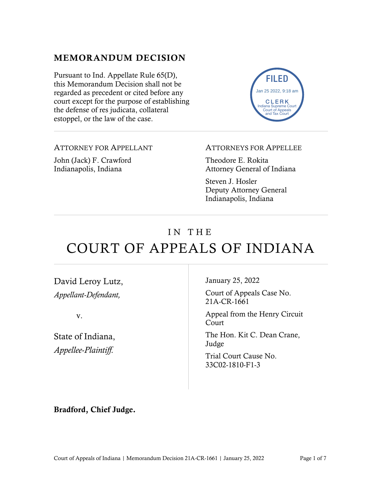#### MEMORANDUM DECISION

Pursuant to Ind. Appellate Rule 65(D), this Memorandum Decision shall not be regarded as precedent or cited before any court except for the purpose of establishing the defense of res judicata, collateral estoppel, or the law of the case.

ATTORNEY FOR APPELLANT John (Jack) F. Crawford Indianapolis, Indiana

ATTORNEYS FOR APPELLEE

FILED

Jan 25 2022, 9:18 am

CLERK Indiana Supreme Court Court of Appeals and Tax Court

Theodore E. Rokita Attorney General of Indiana

Steven J. Hosler Deputy Attorney General Indianapolis, Indiana

# IN THE COURT OF APPEALS OF INDIANA

David Leroy Lutz, *Appellant-Defendant,*

v.

State of Indiana, *Appellee-Plaintiff.*

January 25, 2022

Court of Appeals Case No. 21A-CR-1661

Appeal from the Henry Circuit Court

The Hon. Kit C. Dean Crane, Judge

Trial Court Cause No. 33C02-1810-F1-3

Bradford, Chief Judge.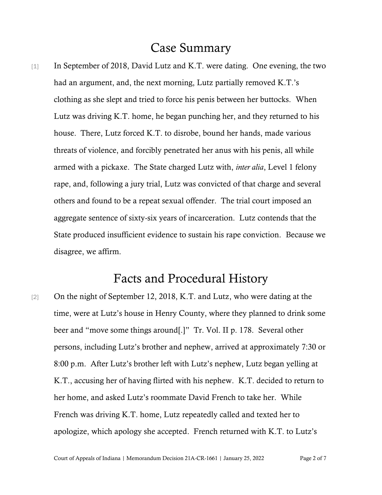### Case Summary

[1] In September of 2018, David Lutz and K.T. were dating. One evening, the two had an argument, and, the next morning, Lutz partially removed K.T.'s clothing as she slept and tried to force his penis between her buttocks. When Lutz was driving K.T. home, he began punching her, and they returned to his house. There, Lutz forced K.T. to disrobe, bound her hands, made various threats of violence, and forcibly penetrated her anus with his penis, all while armed with a pickaxe. The State charged Lutz with, *inter alia*, Level 1 felony rape, and, following a jury trial, Lutz was convicted of that charge and several others and found to be a repeat sexual offender. The trial court imposed an aggregate sentence of sixty-six years of incarceration. Lutz contends that the State produced insufficient evidence to sustain his rape conviction. Because we disagree, we affirm.

### Facts and Procedural History

[2] On the night of September 12, 2018, K.T. and Lutz, who were dating at the time, were at Lutz's house in Henry County, where they planned to drink some beer and "move some things around[.]" Tr. Vol. II p. 178. Several other persons, including Lutz's brother and nephew, arrived at approximately 7:30 or 8:00 p.m. After Lutz's brother left with Lutz's nephew, Lutz began yelling at K.T., accusing her of having flirted with his nephew. K.T. decided to return to her home, and asked Lutz's roommate David French to take her. While French was driving K.T. home, Lutz repeatedly called and texted her to apologize, which apology she accepted. French returned with K.T. to Lutz's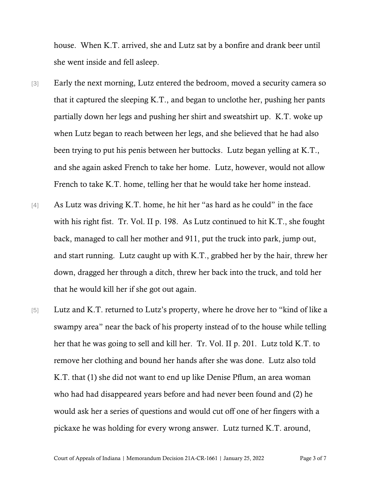house. When K.T. arrived, she and Lutz sat by a bonfire and drank beer until she went inside and fell asleep.

- [3] Early the next morning, Lutz entered the bedroom, moved a security camera so that it captured the sleeping K.T., and began to unclothe her, pushing her pants partially down her legs and pushing her shirt and sweatshirt up. K.T. woke up when Lutz began to reach between her legs, and she believed that he had also been trying to put his penis between her buttocks. Lutz began yelling at K.T., and she again asked French to take her home. Lutz, however, would not allow French to take K.T. home, telling her that he would take her home instead.
- [4] As Lutz was driving K.T. home, he hit her "as hard as he could" in the face with his right fist. Tr. Vol. II p. 198. As Lutz continued to hit K.T., she fought back, managed to call her mother and 911, put the truck into park, jump out, and start running. Lutz caught up with K.T., grabbed her by the hair, threw her down, dragged her through a ditch, threw her back into the truck, and told her that he would kill her if she got out again.
- [5] Lutz and K.T. returned to Lutz's property, where he drove her to "kind of like a swampy area" near the back of his property instead of to the house while telling her that he was going to sell and kill her. Tr. Vol. II p. 201. Lutz told K.T. to remove her clothing and bound her hands after she was done. Lutz also told K.T. that (1) she did not want to end up like Denise Pflum, an area woman who had had disappeared years before and had never been found and (2) he would ask her a series of questions and would cut off one of her fingers with a pickaxe he was holding for every wrong answer. Lutz turned K.T. around,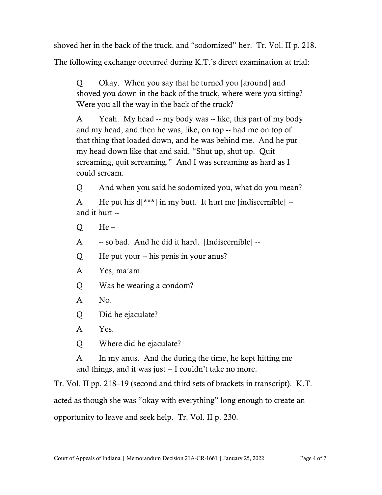shoved her in the back of the truck, and "sodomized" her. Tr. Vol. II p. 218.

The following exchange occurred during K.T.'s direct examination at trial:

Q Okay. When you say that he turned you [around] and shoved you down in the back of the truck, where were you sitting? Were you all the way in the back of the truck?

A Yeah. My head -- my body was -- like, this part of my body and my head, and then he was, like, on top -- had me on top of that thing that loaded down, and he was behind me. And he put my head down like that and said, "Shut up, shut up. Quit screaming, quit screaming." And I was screaming as hard as I could scream.

Q And when you said he sodomized you, what do you mean?

A He put his  $d[***]$  in my butt. It hurt me [indiscernible] -and it hurt --

 $Q$  He –

A -- so bad. And he did it hard. [Indiscernible] --

Q He put your -- his penis in your anus?

A Yes, ma'am.

Q Was he wearing a condom?

A No.

Q Did he ejaculate?

A Yes.

Q Where did he ejaculate?

A In my anus. And the during the time, he kept hitting me and things, and it was just -- I couldn't take no more.

Tr. Vol. II pp. 218–19 (second and third sets of brackets in transcript). K.T. acted as though she was "okay with everything" long enough to create an opportunity to leave and seek help. Tr. Vol. II p. 230.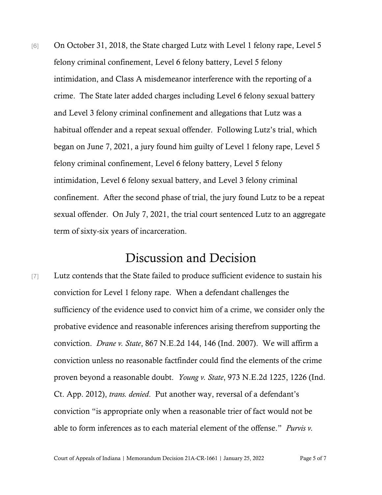[6] On October 31, 2018, the State charged Lutz with Level 1 felony rape, Level 5 felony criminal confinement, Level 6 felony battery, Level 5 felony intimidation, and Class A misdemeanor interference with the reporting of a crime. The State later added charges including Level 6 felony sexual battery and Level 3 felony criminal confinement and allegations that Lutz was a habitual offender and a repeat sexual offender. Following Lutz's trial, which began on June 7, 2021, a jury found him guilty of Level 1 felony rape, Level 5 felony criminal confinement, Level 6 felony battery, Level 5 felony intimidation, Level 6 felony sexual battery, and Level 3 felony criminal confinement. After the second phase of trial, the jury found Lutz to be a repeat sexual offender. On July 7, 2021, the trial court sentenced Lutz to an aggregate term of sixty-six years of incarceration.

## Discussion and Decision

[7] Lutz contends that the State failed to produce sufficient evidence to sustain his conviction for Level 1 felony rape. When a defendant challenges the sufficiency of the evidence used to convict him of a crime, we consider only the probative evidence and reasonable inferences arising therefrom supporting the conviction. *Drane v. State*, 867 N.E.2d 144, 146 (Ind. 2007). We will affirm a conviction unless no reasonable factfinder could find the elements of the crime proven beyond a reasonable doubt. *Young v. State*, 973 N.E.2d 1225, 1226 (Ind. Ct. App. 2012), *trans. denied*. Put another way, reversal of a defendant's conviction "is appropriate only when a reasonable trier of fact would not be able to form inferences as to each material element of the offense." *Purvis v.*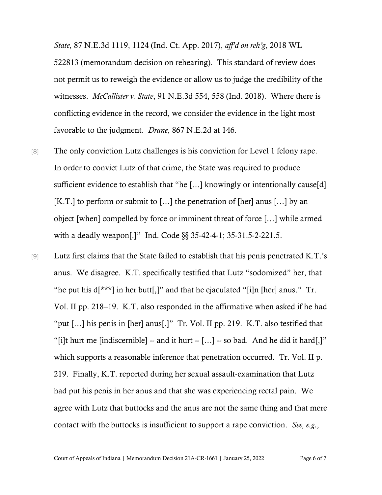*State*, 87 N.E.3d 1119, 1124 (Ind. Ct. App. 2017), *aff'd on reh'g*, 2018 WL 522813 (memorandum decision on rehearing). This standard of review does not permit us to reweigh the evidence or allow us to judge the credibility of the witnesses. *McCallister v. State*, 91 N.E.3d 554, 558 (Ind. 2018). Where there is conflicting evidence in the record, we consider the evidence in the light most favorable to the judgment. *Drane*, 867 N.E.2d at 146.

- [8] The only conviction Lutz challenges is his conviction for Level 1 felony rape. In order to convict Lutz of that crime, the State was required to produce sufficient evidence to establish that "he [...] knowingly or intentionally cause[d] [K.T.] to perform or submit to [...] the penetration of [her] anus [...] by an object [when] compelled by force or imminent threat of force […] while armed with a deadly weapon[.]" Ind. Code §§ 35-42-4-1; 35-31.5-2-221.5.
- [9] Lutz first claims that the State failed to establish that his penis penetrated K.T.'s anus. We disagree. K.T. specifically testified that Lutz "sodomized" her, that "he put his  $d[***]$  in her butt[,]" and that he ejaculated "[i]n [her] anus." Tr. Vol. II pp. 218–19. K.T. also responded in the affirmative when asked if he had "put […] his penis in [her] anus[.]" Tr. Vol. II pp. 219. K.T. also testified that "[i]t hurt me [indiscernible] -- and it hurt -- […] -- so bad. And he did it hard[,]" which supports a reasonable inference that penetration occurred. Tr. Vol. II p. 219. Finally, K.T. reported during her sexual assault-examination that Lutz had put his penis in her anus and that she was experiencing rectal pain. We agree with Lutz that buttocks and the anus are not the same thing and that mere contact with the buttocks is insufficient to support a rape conviction. *See, e.g.*,

Court of Appeals of Indiana | Memorandum Decision 21A-CR-1661 | January 25, 2022 Page 6 of 7